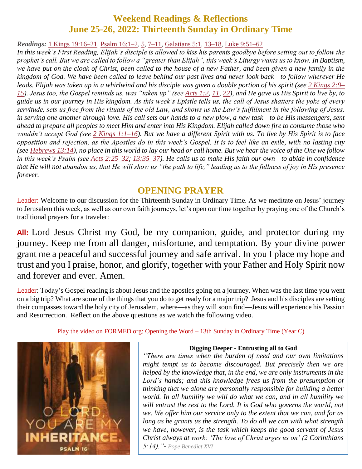# **Weekend Readings & Reflections June 25-26, 2022: Thirteenth Sunday in Ordinary Time**

*Readings:* 1 Kings [19:16–21,](https://biblia.com/bible/rsvce/1%20Kings%2019.16%E2%80%9321) Psalm [16:1–2,](https://biblia.com/bible/rsvce/Ps%2016.1%E2%80%932) [5,](https://biblia.com/bible/rsvce/Psalm%2016.5) [7–11,](https://biblia.com/bible/rsvce/Psalm%2016.7%E2%80%9311) [Galatians](https://biblia.com/bible/rsvce/Gal%205.1) 5:1, [13–18,](https://biblia.com/bible/rsvce/Galatians%205.13%E2%80%9318) Luke [9:51–62](https://biblia.com/bible/rsvce/Luke%209.51%E2%80%9362)

*In this week's First Reading, Elijah's disciple is allowed to kiss his parents goodbye before setting out to follow the prophet's call. But we are called to follow a "greater than Elijah", this week's Liturgy wants us to know. In Baptism, we have put on the cloak of Christ, been called to the house of a new Father, and been given a new family in the kingdom of God. We have been called to leave behind our past lives and never look back—to follow wherever He leads. Elijah was taken up in a whirlwind and his disciple was given a double portion of his spirit (see 2 [Kings](https://biblia.com/bible/rsvce/2%20Kings%202.9%E2%80%9315) 2:9– [15\)](https://biblia.com/bible/rsvce/2%20Kings%202.9%E2%80%9315). Jesus too, the Gospel reminds us, was "taken up" (see [Acts](https://biblia.com/bible/rsvce/Acts%201.2) 1:2, [11,](https://biblia.com/bible/rsvce/Acts%201.11) [22\)](https://biblia.com/bible/rsvce/Acts%201.22), and He gave us His Spirit to live by, to guide us in our journey in His kingdom. As this week's Epistle tells us, the call of Jesus shatters the yoke of every servitude, sets us free from the rituals of the old Law, and shows us the Law's fulfillment in the following of Jesus, in serving one another through love. His call sets our hands to a new plow, a new task—to be His messengers, sent ahead to prepare all peoples to meet Him and enter into His Kingdom. Elijah called down fire to consume those who wouldn't accept God (see 2 Kings [1:1–16\)](https://biblia.com/bible/rsvce/2%20Kings%201.1%E2%80%9316). But we have a different Spirit with us. To live by His Spirit is to face opposition and rejection, as the Apostles do in this week's Gospel. It is to feel like an exile, with no lasting city (see [Hebrews](https://biblia.com/bible/rsvce/Heb%2013.14) 13:14), no place in this world to lay our head or call home. But we hear the voice of the One we follow in this week's Psalm (see Acts [2:25–32;](https://biblia.com/bible/rsvce/Acts%202.25%E2%80%9332) [13:35–37\)](https://biblia.com/bible/rsvce/Acts%2013.35%E2%80%9337). He calls us to make His faith our own—to abide in confidence that He will not abandon us, that He will show us "the path to life," leading us to the fullness of joy in His presence forever.*

# **OPENING PRAYER**

Leader: Welcome to our discussion for the Thirteenth Sunday in Ordinary Time. As we meditate on Jesus' journey to Jerusalem this week, as well as our own faith journeys, let's open our time together by praying one of the Church's traditional prayers for a traveler:

**All:** Lord Jesus Christ my God, be my companion, guide, and protector during my journey. Keep me from all danger, misfortune, and temptation. By your divine power grant me a peaceful and successful journey and safe arrival. In you I place my hope and trust and you I praise, honor, and glorify, together with your Father and Holy Spirit now and forever and ever. Amen.

Leader: Today's Gospel reading is about Jesus and the apostles going on a journey. When was the last time you went on a big trip? What are some of the things that you do to get ready for a major trip? Jesus and his disciples are setting their compasses toward the holy city of Jerusalem, where—as they will soon find—Jesus will experience his Passion and Resurrection. Reflect on the above questions as we watch the following video.

Play the video on FORMED.org: [Opening the Word –](https://watch.formed.org/opening-the-word-1/season:3/videos/13th-sunday-in-ordinary-time-june-30-2019) 13th Sunday in Ordinary Time (Year C)



#### **Digging Deeper - Entrusting all to God**

*"There are times when the burden of need and our own limitations might tempt us to become discouraged. But precisely then we are helped by the knowledge that, in the end, we are only instruments in the Lord's hands; and this knowledge frees us from the presumption of thinking that we alone are personally responsible for building a better world. In all humility we will do what we can, and in all humility we will entrust the rest to the Lord. It is God who governs the world, not we. We offer him our service only to the extent that we can, and for as long as he grants us the strength. To do all we can with what strength we have, however, is the task which keeps the good servant of Jesus Christ always at work: 'The love of Christ urges us on' (2 Corinthians 5:14)."- Pope Benedict XVI*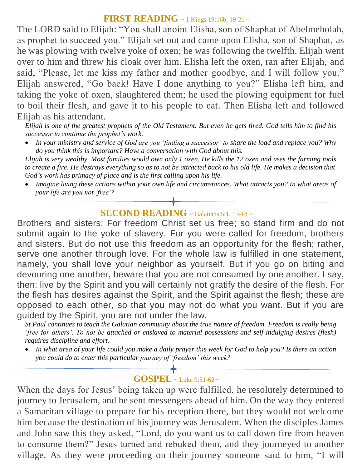#### **FIRST READING** ~ 1 Kings 19:16b, 19-21 ~

The LORD said to Elijah: "You shall anoint Elisha, son of Shaphat of Abelmeholah, as prophet to succeed you." Elijah set out and came upon Elisha, son of Shaphat, as he was plowing with twelve yoke of oxen; he was following the twelfth. Elijah went over to him and threw his cloak over him. Elisha left the oxen, ran after Elijah, and said, "Please, let me kiss my father and mother goodbye, and I will follow you." Elijah answered, "Go back! Have I done anything to you?" Elisha left him, and taking the yoke of oxen, slaughtered them; he used the plowing equipment for fuel to boil their flesh, and gave it to his people to eat. Then Elisha left and followed Elijah as his attendant.

*Elijah is one of the greatest prophets of the Old Testament. But even he gets tired. God tells him to find his successor to continue the prophet's work.* 

 *In your ministry and service of God are you ʻfinding a successor' to share the load and replace you? Why do you think this is important? Have a conversation with God about this.*

*Elijah is very wealthy. Most families would own only 1 oxen. He kills the 12 oxen and uses the farming tools to create a fire. He destroys everything so as to not be attracted back to his old life. He makes a decision that God's work has primacy of place and is the first calling upon his life.*

 *Imagine living these actions within your own life and circumstances. What attracts you? In what areas of your life are you not ʻfree'?*

# **SECOND READING**  $\sim$  Galatians 5:1, 13-18  $\sim$

Brothers and sisters: For freedom Christ set us free; so stand firm and do not submit again to the yoke of slavery. For you were called for freedom, brothers and sisters. But do not use this freedom as an opportunity for the flesh; rather, serve one another through love. For the whole law is fulfilled in one statement, namely, you shall love your neighbor as yourself. But if you go on biting and devouring one another, beware that you are not consumed by one another. I say, then: live by the Spirit and you will certainly not gratify the desire of the flesh. For the flesh has desires against the Spirit, and the Spirit against the flesh; these are opposed to each other, so that you may not do what you want. But if you are guided by the Spirit, you are not under the law.

*St Paul continues to teach the Galatian community about the true nature of freedom. Freedom is really being ʻfree for others'. To not be attached or enslaved to material possessions and self indulging desires (flesh) requires discipline and effort.* 

 *In what area of your life could you make a daily prayer this week for God to help you? Is there an action you could do to enter this particular journey of ʻfreedom' this week?*

## **GOSPEL** ~ Luke 9:51-62 <sup>~</sup>

When the days for Jesus' being taken up were fulfilled, he resolutely determined to journey to Jerusalem, and he sent messengers ahead of him. On the way they entered a Samaritan village to prepare for his reception there, but they would not welcome him because the destination of his journey was Jerusalem. When the disciples James and John saw this they asked, "Lord, do you want us to call down fire from heaven to consume them?" Jesus turned and rebuked them, and they journeyed to another village. As they were proceeding on their journey someone said to him, "I will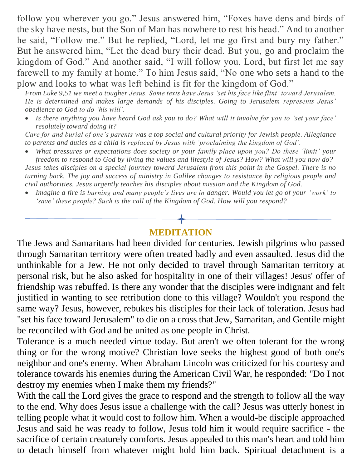follow you wherever you go." Jesus answered him, "Foxes have dens and birds of the sky have nests, but the Son of Man has nowhere to rest his head." And to another he said, "Follow me." But he replied, "Lord, let me go first and bury my father." But he answered him, "Let the dead bury their dead. But you, go and proclaim the kingdom of God." And another said, "I will follow you, Lord, but first let me say farewell to my family at home." To him Jesus said, "No one who sets a hand to the plow and looks to what was left behind is fit for the kingdom of God."

*From Luke 9,51 we meet a tougher Jesus. Some texts have Jesus ʻset his face like flint' toward Jerusalem. He is determined and makes large demands of his disciples. Going to Jerusalem represents Jesus' obedience to God to do ʻhis will'.* 

 *Is there anything you have heard God ask you to do? What will it involve for you to ʻset your face' resolutely toward doing it?*

*Care for and burial of one's parents was a top social and cultural priority for Jewish people. Allegiance to parents and duties as a child is replaced by Jesus with ʻproclaiming the kingdom of God'.* 

 *What pressures or expectations does society or your family place upon you? Do these ʻlimit' your freedom to respond to God by living the values and lifestyle of Jesus? How? What will you now do? Jesus takes disciples on a special journey toward Jerusalem from this point in the Gospel. There is no turning back. The joy and success of ministry in Galilee changes to resistance by religious people and civil authorities. Jesus urgently teaches his disciples about mission and the Kingdom of God.* 

 *Imagine a fire is burning and many people's lives are in danger. Would you let go of your ʻwork' to ʻsave' these people? Such is the call of the Kingdom of God. How will you respond?*

## **MEDITATION**

The Jews and Samaritans had been divided for centuries. Jewish pilgrims who passed through Samaritan territory were often treated badly and even assaulted. Jesus did the unthinkable for a Jew. He not only decided to travel through Samaritan territory at personal risk, but he also asked for hospitality in one of their villages! Jesus' offer of friendship was rebuffed. Is there any wonder that the disciples were indignant and felt justified in wanting to see retribution done to this village? Wouldn't you respond the same way? Jesus, however, rebukes his disciples for their lack of toleration. Jesus had "set his face toward Jerusalem" to die on a cross that Jew, Samaritan, and Gentile might be reconciled with God and be united as one people in Christ.

Tolerance is a much needed virtue today. But aren't we often tolerant for the wrong thing or for the wrong motive? Christian love seeks the highest good of both one's neighbor and one's enemy. When Abraham Lincoln was criticized for his courtesy and tolerance towards his enemies during the American Civil War, he responded: "Do I not destroy my enemies when I make them my friends?"

With the call the Lord gives the grace to respond and the strength to follow all the way to the end. Why does Jesus issue a challenge with the call? Jesus was utterly honest in telling people what it would cost to follow him. When a would-be disciple approached Jesus and said he was ready to follow, Jesus told him it would require sacrifice - the sacrifice of certain creaturely comforts. Jesus appealed to this man's heart and told him to detach himself from whatever might hold him back. Spiritual detachment is a